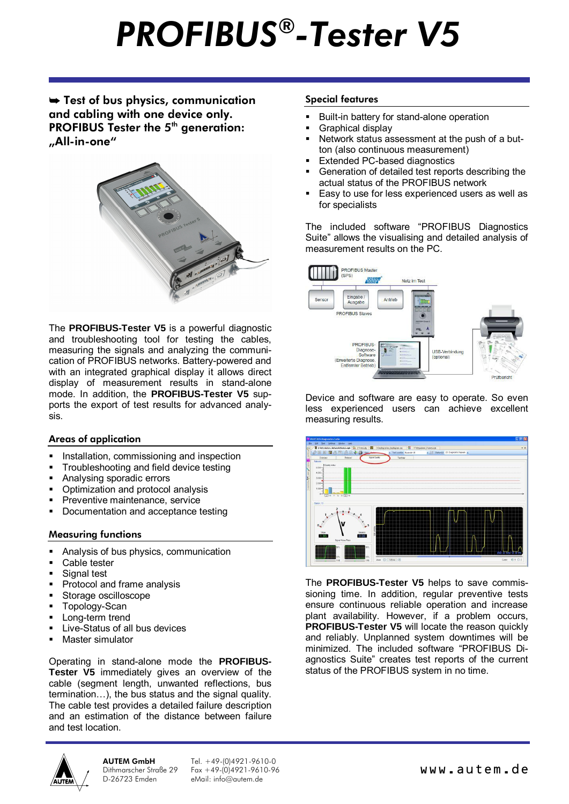# *PROFIBUS® -Tester V5*

 $\rightarrow$  Test of bus physics, communication and cabling with one device only. PROFIBUS Tester the 5<sup>th</sup> generation: "All-in-one"



The **PROFIBUS-Tester V5** is a powerful diagnostic and troubleshooting tool for testing the cables, measuring the signals and analyzing the communication of PROFIBUS networks. Battery-powered and with an integrated graphical display it allows direct display of measurement results in stand-alone mode. In addition, the **PROFIBUS-Tester V5** supports the export of test results for advanced analysis.

# Areas of application

- Installation, commissioning and inspection
- Troubleshooting and field device testing
- Analysing sporadic errors
- § Optimization and protocol analysis
- § Preventive maintenance, service
- § Documentation and acceptance testing

# Measuring functions

- Analysis of bus physics, communication
- Cable tester
- Signal test
- § Protocol and frame analysis
- § Storage oscilloscope
- § Topology-Scan
- Long-term trend
- § Live-Status of all bus devices
- § Master simulator

Operating in stand-alone mode the **PROFIBUS-Tester V5** immediately gives an overview of the cable (segment length, unwanted reflections, bus termination…), the bus status and the signal quality. The cable test provides a detailed failure description and an estimation of the distance between failure and test location.

AUTEM GmbH Dithmarscher Straße 29 D-26723 Emden

Tel. +49-(0)4921-9610-0  $F_{\text{ex}}$  +49-(0)4921-9610-96 eMail: info@autem.de

#### Special features

- § Built-in battery for stand-alone operation
- § Graphical display
- Network status assessment at the push of a button (also continuous measurement)
- Extended PC-based diagnostics
- § Generation of detailed test reports describing the actual status of the PROFIBUS network
- Easy to use for less experienced users as well as for specialists

The included software "PROFIBUS Diagnostics Suite" allows the visualising and detailed analysis of measurement results on the PC.



Device and software are easy to operate. So even less experienced users can achieve excellent measuring results.



The **PROFIBUS-Tester V5** helps to save commissioning time. In addition, regular preventive tests ensure continuous reliable operation and increase plant availability. However, if a problem occurs, **PROFIBUS-Tester V5** will locate the reason quickly and reliably. Unplanned system downtimes will be minimized. The included software "PROFIBUS Diagnostics Suite" creates test reports of the current status of the PROFIBUS system in no time.